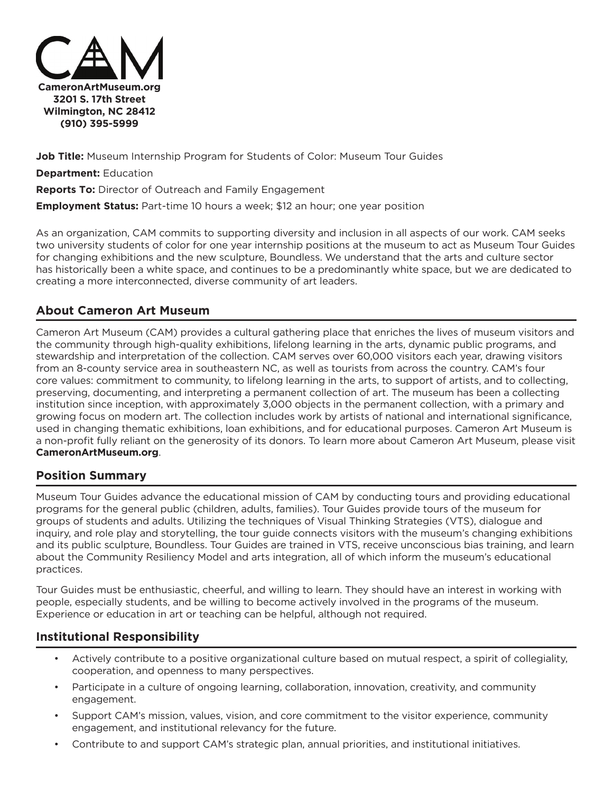

**Job Title:** Museum Internship Program for Students of Color: Museum Tour Guides

**Department:** Education

**Reports To:** Director of Outreach and Family Engagement

**Employment Status:** Part-time 10 hours a week; \$12 an hour; one year position

As an organization, CAM commits to supporting diversity and inclusion in all aspects of our work. CAM seeks two university students of color for one year internship positions at the museum to act as Museum Tour Guides for changing exhibitions and the new sculpture, Boundless. We understand that the arts and culture sector has historically been a white space, and continues to be a predominantly white space, but we are dedicated to creating a more interconnected, diverse community of art leaders.

## **About Cameron Art Museum**

Cameron Art Museum (CAM) provides a cultural gathering place that enriches the lives of museum visitors and the community through high-quality exhibitions, lifelong learning in the arts, dynamic public programs, and stewardship and interpretation of the collection. CAM serves over 60,000 visitors each year, drawing visitors from an 8-county service area in southeastern NC, as well as tourists from across the country. CAM's four core values: commitment to community, to lifelong learning in the arts, to support of artists, and to collecting, preserving, documenting, and interpreting a permanent collection of art. The museum has been a collecting institution since inception, with approximately 3,000 objects in the permanent collection, with a primary and growing focus on modern art. The collection includes work by artists of national and international significance, used in changing thematic exhibitions, loan exhibitions, and for educational purposes. Cameron Art Museum is a non-profit fully reliant on the generosity of its donors. To learn more about Cameron Art Museum, please visit **CameronArtMuseum.org**.

## **Position Summary**

Museum Tour Guides advance the educational mission of CAM by conducting tours and providing educational programs for the general public (children, adults, families). Tour Guides provide tours of the museum for groups of students and adults. Utilizing the techniques of Visual Thinking Strategies (VTS), dialogue and inquiry, and role play and storytelling, the tour guide connects visitors with the museum's changing exhibitions and its public sculpture, Boundless. Tour Guides are trained in VTS, receive unconscious bias training, and learn about the Community Resiliency Model and arts integration, all of which inform the museum's educational practices.

Tour Guides must be enthusiastic, cheerful, and willing to learn. They should have an interest in working with people, especially students, and be willing to become actively involved in the programs of the museum. Experience or education in art or teaching can be helpful, although not required.

## **Institutional Responsibility**

- Actively contribute to a positive organizational culture based on mutual respect, a spirit of collegiality, cooperation, and openness to many perspectives.
- Participate in a culture of ongoing learning, collaboration, innovation, creativity, and community engagement.
- Support CAM's mission, values, vision, and core commitment to the visitor experience, community engagement, and institutional relevancy for the future.
- Contribute to and support CAM's strategic plan, annual priorities, and institutional initiatives.